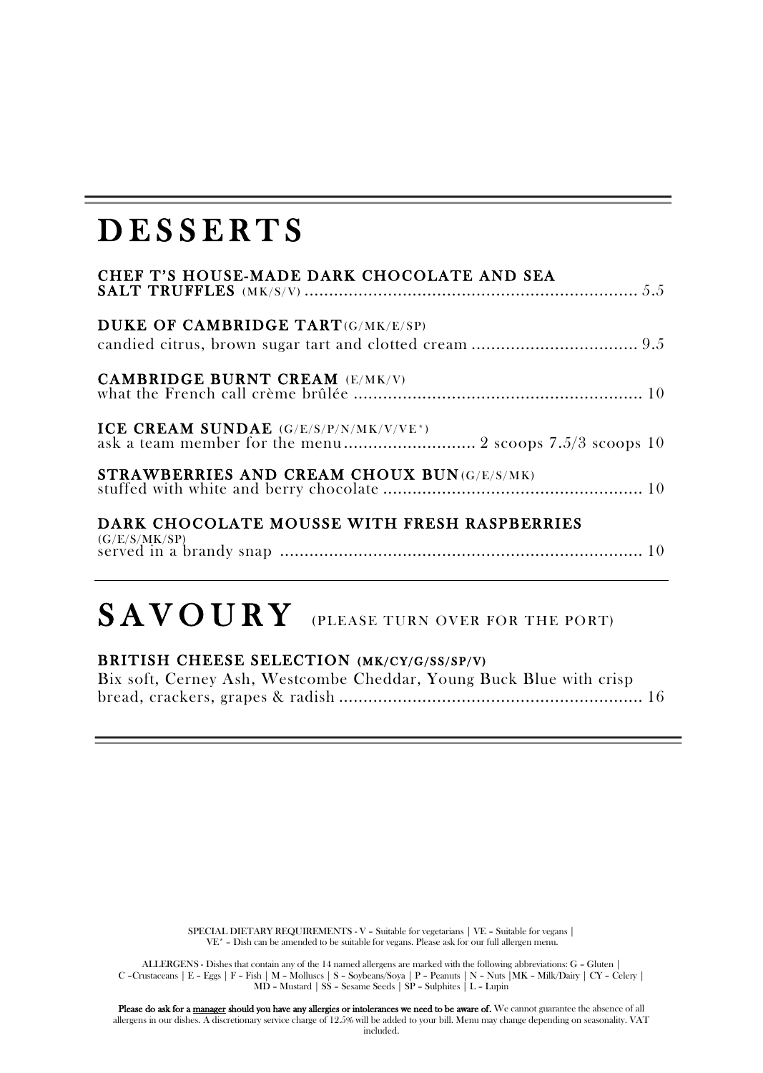### **DESSERTS**

| CHEF T'S HOUSE-MADE DARK CHOCOLATE AND SEA                                                       |
|--------------------------------------------------------------------------------------------------|
| DUKE OF CAMBRIDGE TART(G/MK/E/SP)                                                                |
| <b>CAMBRIDGE BURNT CREAM (E/MK/V)</b>                                                            |
| ICE CREAM SUNDAE (G/E/S/P/N/MK/V/VE*)<br>ask a team member for the menu 2 scoops 7.5/3 scoops 10 |
| STRAWBERRIES AND CREAM CHOUX BUN(G/E/S/MK)                                                       |
| DARK CHOCOLATE MOUSSE WITH FRESH RASPBERRIES                                                     |

(G/E/S/MK/SP) served in a brandy snap .......................................................................... 10

## SAVOURY (PLEASE TURN OVER FOR THE PORT)

#### BRITISH CHEESE SELECTION (MK/CY/G/SS/SP/V)

Bix soft, Cerney Ash, Westcombe Cheddar, Young Buck Blue with crisp bread, crackers, grapes & radish .............................................................. 16

> SPECIAL DIETARY REQUIREMENTS - V - Suitable for vegetarians | VE - Suitable for vegans | VE\* – Dish can be amended to be suitable for vegans. Please ask for our full allergen menu.

ALLERGENS - Dishes that contain any of the 14 named allergens are marked with the following abbreviations: G - Gluten |<br>C - Crustaceans | E - Eggs | F - Fish | M - Molusca | S - Soybeans/Soya | P - Peanuts | N - Nuis | MK

Please do ask for a <u>manager</u> should you have any allergies or intolerances we need to be aware of. We cannot guarantee the absence of all<br>allergens in our dishes. A discretionary service charge of 12.5% will be added to y included.